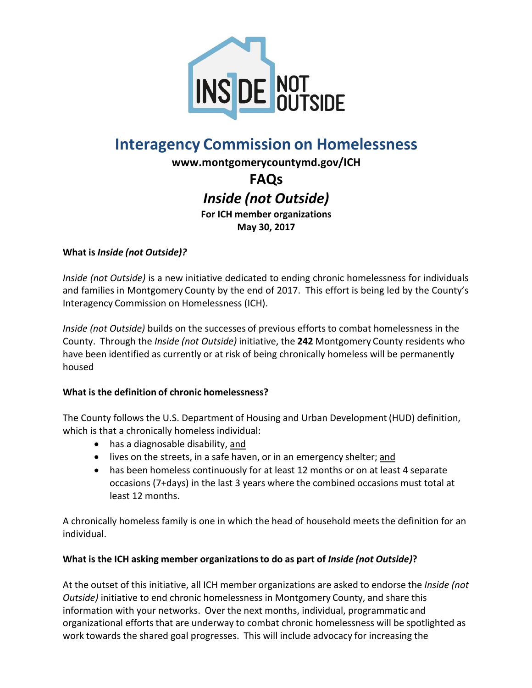

# **Interagency Commission on Homelessness**

**www.montgomerycountymd.gov/ICH**

**FAQs** *Inside (not Outside)*

**For ICH member organizations May 30, 2017**

# **What is** *Inside (not Outside)?*

*Inside (not Outside)* is a new initiative dedicated to ending chronic homelessness for individuals and families in Montgomery County by the end of 2017. This effort is being led by the County's Interagency Commission on Homelessness (ICH).

*Inside (not Outside)* builds on the successes of previous efforts to combat homelessness in the County. Through the *Inside (not Outside)* initiative, the **242** Montgomery County residents who have been identified as currently or at risk of being chronically homeless will be permanently housed

#### **What is the definition of chronic homelessness?**

The County follows the U.S. Department of Housing and Urban Development (HUD) definition, which is that a chronically homeless individual:

- has a diagnosable disability, and
- lives on the streets, in a safe haven, or in an emergency shelter; and
- has been homeless continuously for at least 12 months or on at least 4 separate occasions (7+days) in the last 3 years where the combined occasions must total at least 12 months.

A chronically homeless family is one in which the head of household meets the definition for an individual.

#### **What is the ICH asking member organizationsto do as part of** *Inside (not Outside)***?**

At the outset of this initiative, all ICH member organizations are asked to endorse the *Inside (not Outside)* initiative to end chronic homelessness in Montgomery County, and share this information with your networks. Over the next months, individual, programmatic and organizational efforts that are underway to combat chronic homelessness will be spotlighted as work towards the shared goal progresses. This will include advocacy for increasing the